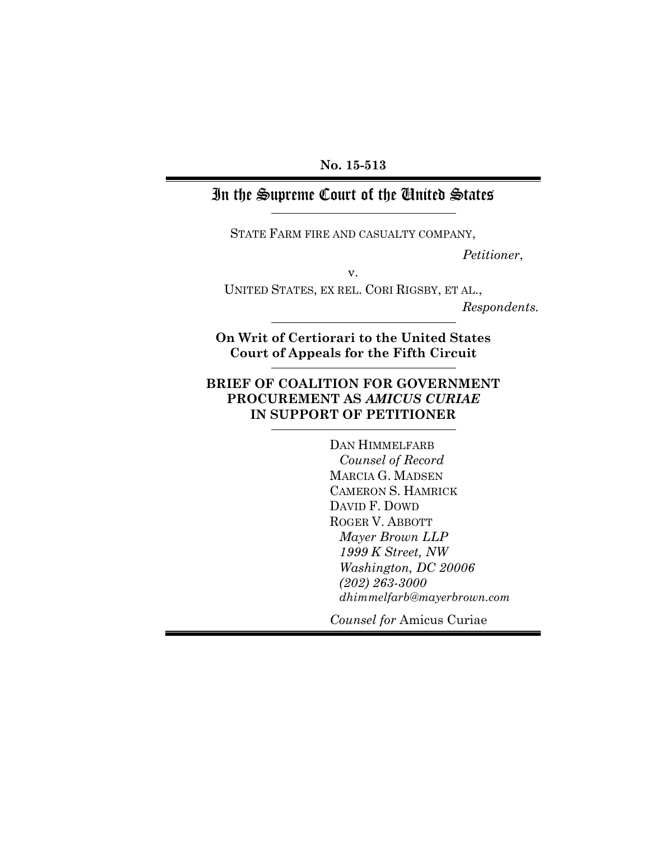### **No. 15-513**

## In the Supreme Court of the United States

STATE FARM FIRE AND CASUALTY COMPANY,

*Petitioner*,

v.

UNITED STATES, EX REL. CORI RIGSBY, ET AL.,

*Respondents.*

**On Writ of Certiorari to the United States Court of Appeals for the Fifth Circuit**

### **BRIEF OF COALITION FOR GOVERNMENT PROCUREMENT AS** *AMICUS CURIAE* **IN SUPPORT OF PETITIONER**

DAN HIMMELFARB *Counsel of Record* MARCIA G. MADSEN CAMERON S. HAMRICK DAVID F. DOWD ROGER V. ABBOTT *Mayer Brown LLP 1999 K Street, NW Washington, DC 20006 (202) 263-3000 dhimmelfarb@mayerbrown.com*

*Counsel for* Amicus Curiae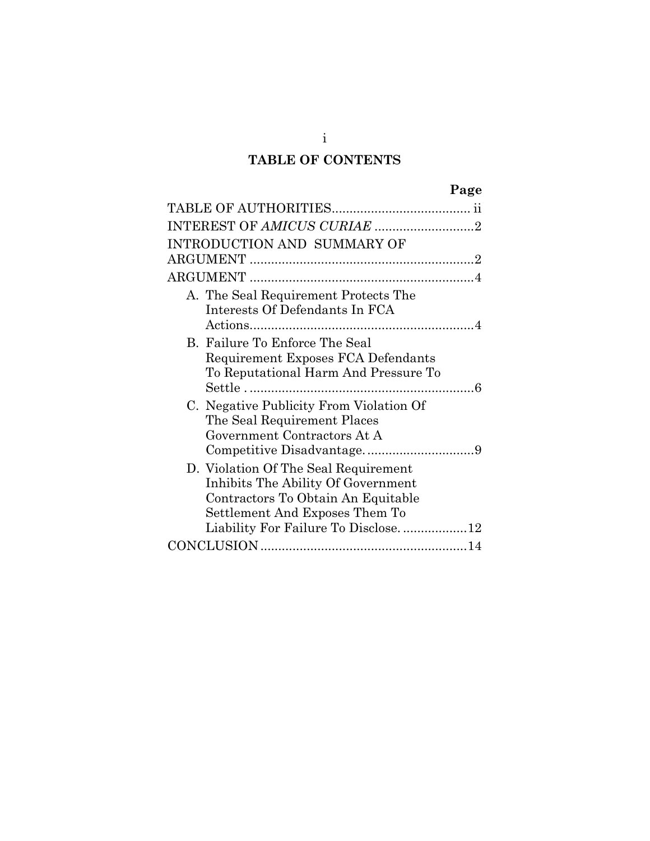## **TABLE OF CONTENTS**

|                                                                            | Page |
|----------------------------------------------------------------------------|------|
|                                                                            |      |
|                                                                            |      |
| INTRODUCTION AND SUMMARY OF                                                |      |
|                                                                            |      |
|                                                                            |      |
| A. The Seal Requirement Protects The                                       |      |
| Interests Of Defendants In FCA                                             |      |
|                                                                            |      |
| B. Failure To Enforce The Seal                                             |      |
| Requirement Exposes FCA Defendants                                         |      |
| To Reputational Harm And Pressure To                                       |      |
|                                                                            |      |
| C. Negative Publicity From Violation Of                                    |      |
| The Seal Requirement Places<br>Government Contractors At A                 |      |
|                                                                            |      |
|                                                                            |      |
| D. Violation Of The Seal Requirement<br>Inhibits The Ability Of Government |      |
| Contractors To Obtain An Equitable                                         |      |
| Settlement And Exposes Them To                                             |      |
| Liability For Failure To Disclose12                                        |      |
|                                                                            |      |
|                                                                            |      |

i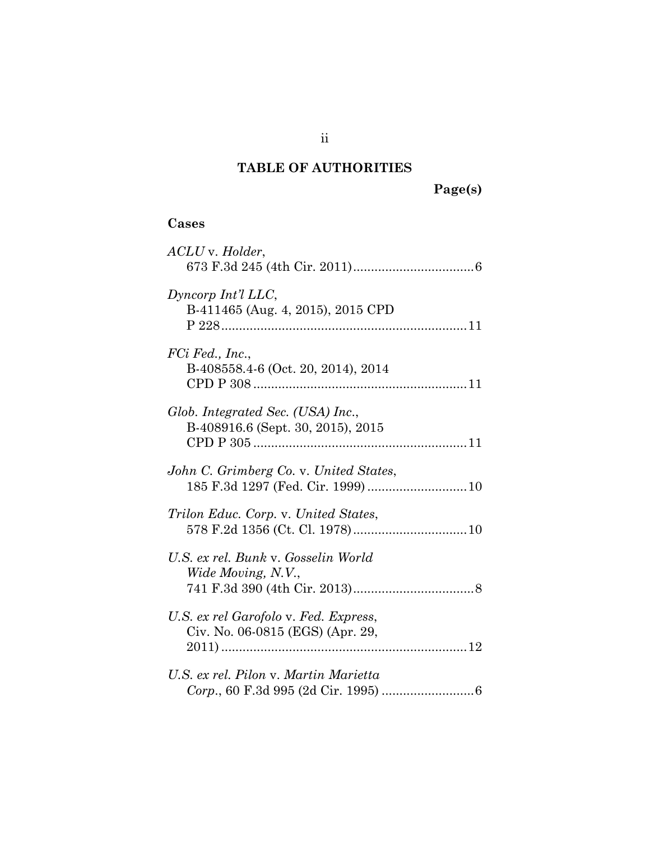## <span id="page-2-0"></span>**TABLE OF AUTHORITIES**

### **Cases**

| ACLU v. Holder,                                                              |
|------------------------------------------------------------------------------|
| Dyncorp Int'l LLC,<br>B-411465 (Aug. 4, 2015), 2015 CPD                      |
| FCi Fed., Inc.,<br>B-408558.4-6 (Oct. 20, 2014), 2014                        |
| Glob. Integrated Sec. (USA) Inc.,<br>B-408916.6 (Sept. 30, 2015), 2015       |
| John C. Grimberg Co. v. United States,<br>185 F.3d 1297 (Fed. Cir. 1999)  10 |
| Trilon Educ. Corp. v. United States,                                         |
| U.S. ex rel. Bunk v. Gosselin World<br>Wide Moving, N.V.,                    |
| U.S. ex rel Garofolo v. Fed. Express,<br>Civ. No. 06-0815 (EGS) (Apr. 29,    |
| U.S. ex rel. Pilon v. Martin Marietta                                        |

**Page(s)**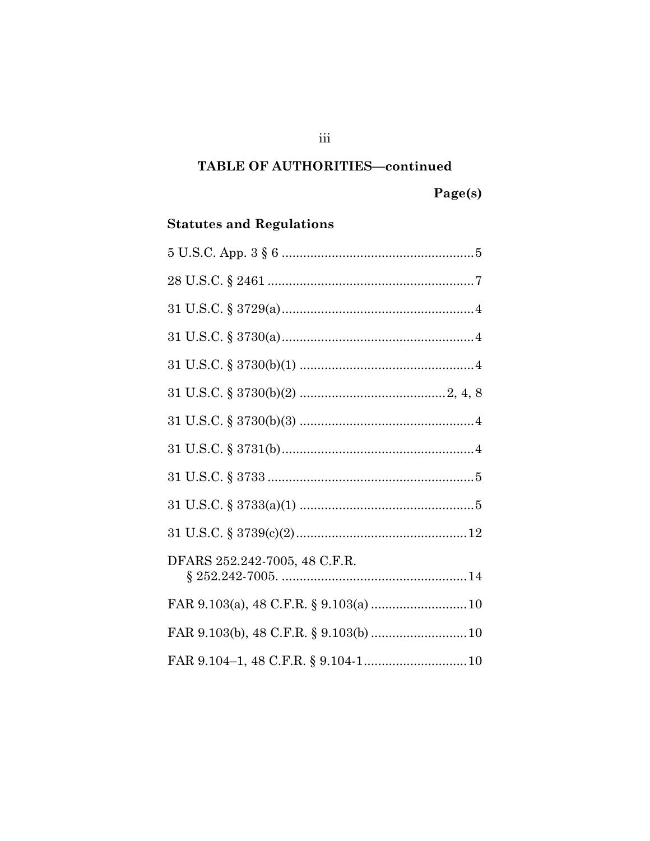### TABLE OF AUTHORITIES-continued

# $Page(s)$

## **Statutes and Regulations**

| DFARS 252.242-7005, 48 C.F.R. |
|-------------------------------|
|                               |
|                               |
|                               |

 $\overline{\text{iii}}$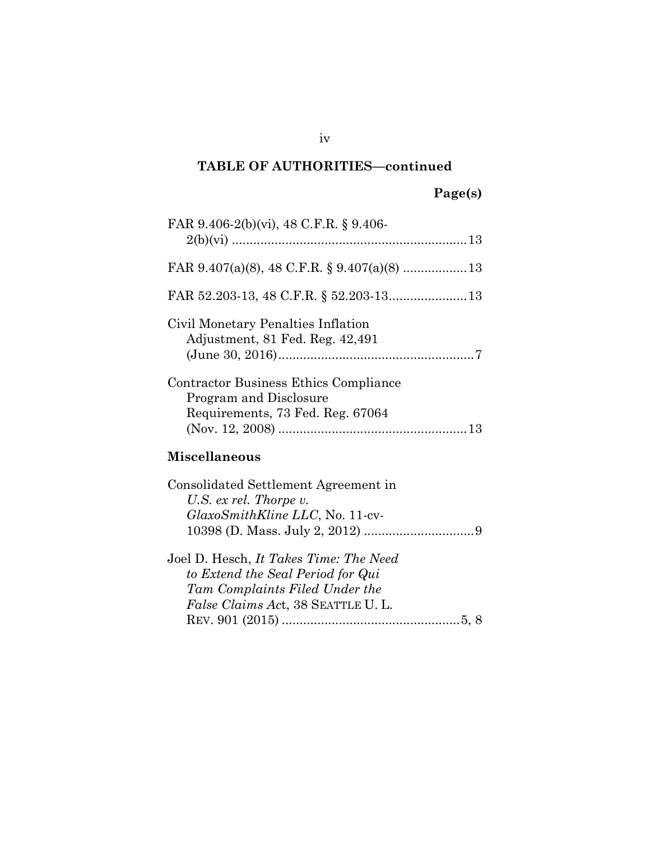### **TABLE OF AUTHORITIES—continued**

## **Page(s)**

| FAR 9.406-2(b)(vi), 48 C.F.R. § 9.406-                                                                                                                    |
|-----------------------------------------------------------------------------------------------------------------------------------------------------------|
|                                                                                                                                                           |
|                                                                                                                                                           |
| Civil Monetary Penalties Inflation<br>Adjustment, 81 Fed. Reg. 42,491                                                                                     |
| Contractor Business Ethics Compliance<br>Program and Disclosure<br>Requirements, 73 Fed. Reg. 67064                                                       |
| <b>Miscellaneous</b>                                                                                                                                      |
| Consolidated Settlement Agreement in<br>U.S. ex rel. Thorpe v.<br><i>GlaxoSmithKline LLC</i> , No. 11-cv-                                                 |
| Joel D. Hesch, It Takes Time: The Need<br>to Extend the Seal Period for Qui<br>Tam Complaints Filed Under the<br><i>False Claims Act, 38 SEATTLE U.L.</i> |
|                                                                                                                                                           |

iv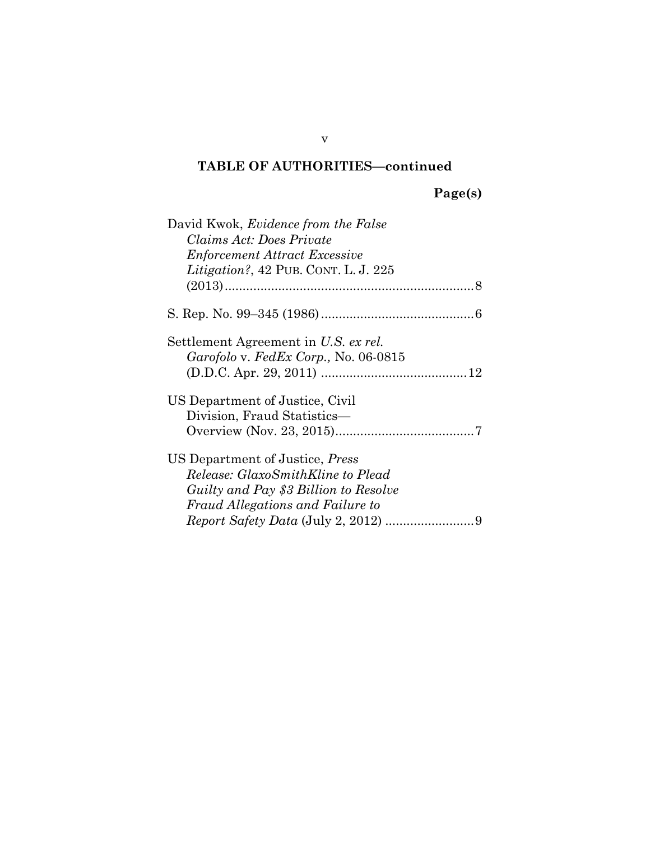### **TABLE OF AUTHORITIES—continued**

## **Page(s)**

| David Kwok, <i>Evidence from the False</i> |  |
|--------------------------------------------|--|
| Claims Act: Does Private                   |  |
| <b>Enforcement Attract Excessive</b>       |  |
| Litigation?, 42 PUB. CONT. L. J. 225       |  |
|                                            |  |
|                                            |  |
| Settlement Agreement in U.S. ex rel.       |  |
| Garofolo v. FedEx Corp., No. 06-0815       |  |
|                                            |  |
| US Department of Justice, Civil            |  |
| Division, Fraud Statistics-                |  |
|                                            |  |
| US Department of Justice, <i>Press</i>     |  |
| Release: GlaxoSmithKline to Plead          |  |
| Guilty and Pay \$3 Billion to Resolve      |  |
| Fraud Allegations and Failure to           |  |
|                                            |  |

v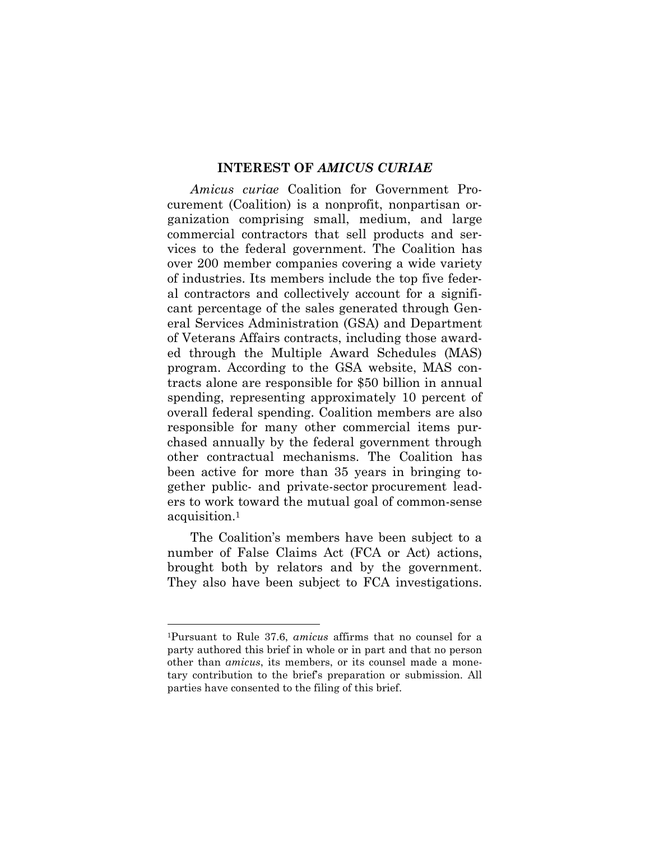#### <span id="page-6-0"></span>**INTEREST OF** *AMICUS CURIAE*

*Amicus curiae* Coalition for Government Procurement (Coalition) is a nonprofit, nonpartisan organization comprising small, medium, and large commercial contractors that sell products and services to the federal government. The Coalition has over 200 member companies covering a wide variety of industries. Its members include the top five federal contractors and collectively account for a significant percentage of the sales generated through General Services Administration (GSA) and Department of Veterans Affairs contracts, including those awarded through the Multiple Award Schedules (MAS) program. According to the GSA website, MAS contracts alone are responsible for \$50 billion in annual spending, representing approximately 10 percent of overall federal spending. Coalition members are also responsible for many other commercial items purchased annually by the federal government through other contractual mechanisms. The Coalition has been active for more than 35 years in bringing together public- and private-sector procurement leaders to work toward the mutual goal of common-sense acquisition.[1](#page-6-1)

The Coalition's members have been subject to a number of False Claims Act (FCA or Act) actions, brought both by relators and by the government. They also have been subject to FCA investigations.

<span id="page-6-1"></span><sup>1</sup>Pursuant to Rule 37.6, *amicus* affirms that no counsel for a party authored this brief in whole or in part and that no person other than *amicus*, its members, or its counsel made a monetary contribution to the brief's preparation or submission. All parties have consented to the filing of this brief.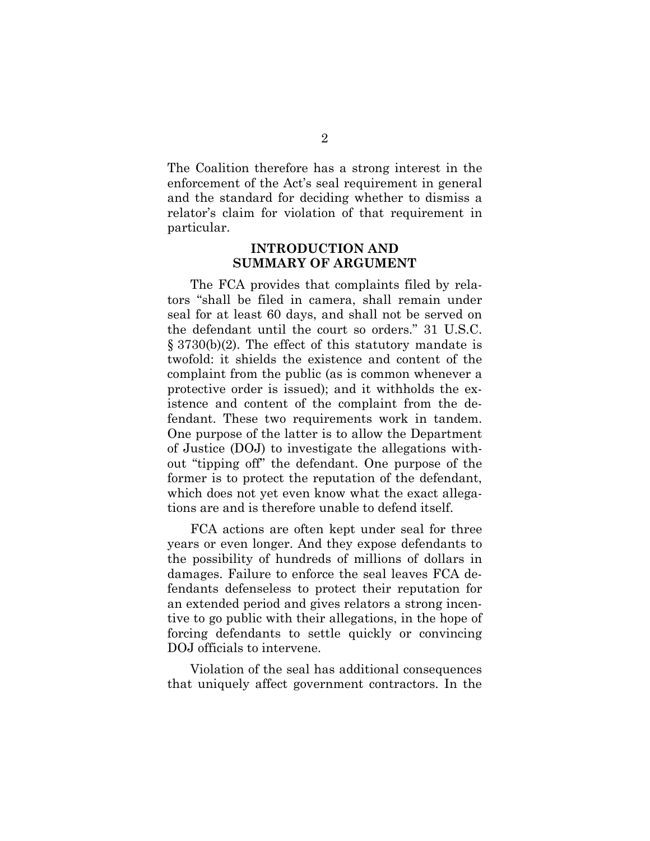The Coalition therefore has a strong interest in the enforcement of the Act's seal requirement in general and the standard for deciding whether to dismiss a relator's claim for violation of that requirement in particular.

#### <span id="page-7-0"></span>**INTRODUCTION AND SUMMARY OF ARGUMENT**

The FCA provides that complaints filed by relators "shall be filed in camera, shall remain under seal for at least 60 days, and shall not be served on the defendant until the court so orders." 31 U.S.C. § 3730(b)(2). The effect of this statutory mandate is twofold: it shields the existence and content of the complaint from the public (as is common whenever a protective order is issued); and it withholds the existence and content of the complaint from the defendant. These two requirements work in tandem. One purpose of the latter is to allow the Department of Justice (DOJ) to investigate the allegations without "tipping off" the defendant. One purpose of the former is to protect the reputation of the defendant, which does not yet even know what the exact allegations are and is therefore unable to defend itself.

FCA actions are often kept under seal for three years or even longer. And they expose defendants to the possibility of hundreds of millions of dollars in damages. Failure to enforce the seal leaves FCA defendants defenseless to protect their reputation for an extended period and gives relators a strong incentive to go public with their allegations, in the hope of forcing defendants to settle quickly or convincing DOJ officials to intervene.

Violation of the seal has additional consequences that uniquely affect government contractors. In the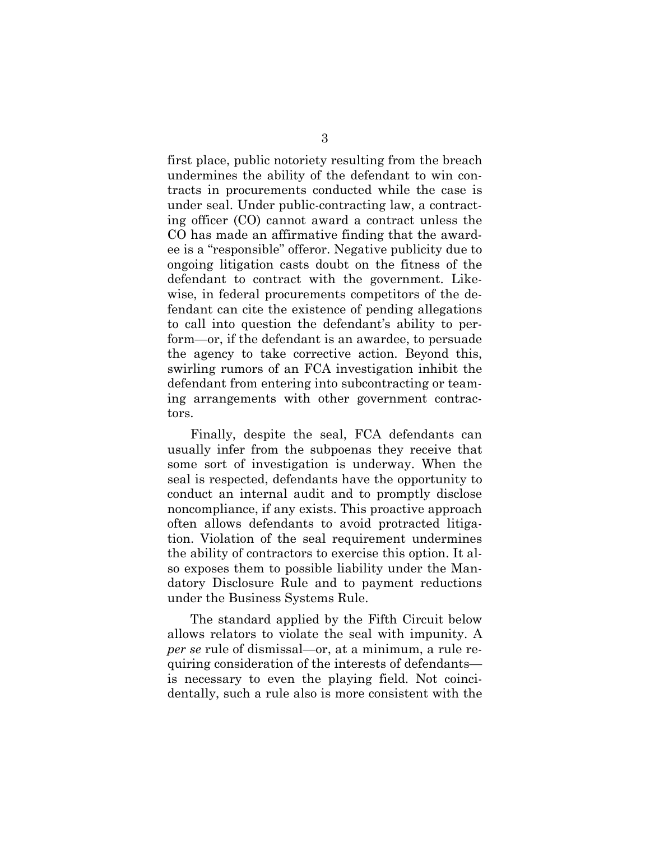first place, public notoriety resulting from the breach undermines the ability of the defendant to win contracts in procurements conducted while the case is under seal. Under public-contracting law, a contracting officer (CO) cannot award a contract unless the CO has made an affirmative finding that the awardee is a "responsible" offeror. Negative publicity due to ongoing litigation casts doubt on the fitness of the defendant to contract with the government. Likewise, in federal procurements competitors of the defendant can cite the existence of pending allegations to call into question the defendant's ability to perform—or, if the defendant is an awardee, to persuade the agency to take corrective action. Beyond this, swirling rumors of an FCA investigation inhibit the defendant from entering into subcontracting or teaming arrangements with other government contractors.

Finally, despite the seal, FCA defendants can usually infer from the subpoenas they receive that some sort of investigation is underway. When the seal is respected, defendants have the opportunity to conduct an internal audit and to promptly disclose noncompliance, if any exists. This proactive approach often allows defendants to avoid protracted litigation. Violation of the seal requirement undermines the ability of contractors to exercise this option. It also exposes them to possible liability under the Mandatory Disclosure Rule and to payment reductions under the Business Systems Rule.

The standard applied by the Fifth Circuit below allows relators to violate the seal with impunity. A *per se* rule of dismissal—or, at a minimum, a rule requiring consideration of the interests of defendants is necessary to even the playing field. Not coincidentally, such a rule also is more consistent with the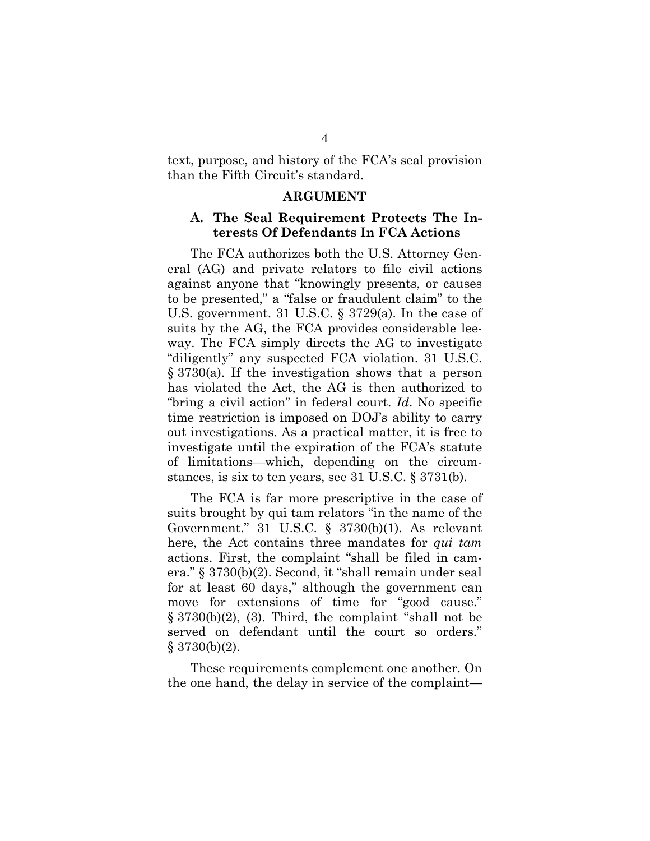text, purpose, and history of the FCA's seal provision than the Fifth Circuit's standard.

#### <span id="page-9-0"></span>**ARGUMENT**

#### **A. The Seal Requirement Protects The Interests Of Defendants In FCA Actions**

The FCA authorizes both the U.S. Attorney General (AG) and private relators to file civil actions against anyone that "knowingly presents, or causes to be presented," a "false or fraudulent claim" to the U.S. government. 31 U.S.C. § 3729(a). In the case of suits by the AG, the FCA provides considerable leeway. The FCA simply directs the AG to investigate "diligently" any suspected FCA violation. 31 U.S.C. § 3730(a). If the investigation shows that a person has violated the Act, the AG is then authorized to "bring a civil action" in federal court. *Id*. No specific time restriction is imposed on DOJ's ability to carry out investigations. As a practical matter, it is free to investigate until the expiration of the FCA's statute of limitations—which, depending on the circumstances, is six to ten years, see 31 U.S.C. § 3731(b).

The FCA is far more prescriptive in the case of suits brought by qui tam relators "in the name of the Government." 31 U.S.C. § 3730(b)(1). As relevant here, the Act contains three mandates for *qui tam* actions. First, the complaint "shall be filed in camera." § 3730(b)(2). Second, it "shall remain under seal for at least 60 days," although the government can move for extensions of time for "good cause."  $\S 3730(b)(2)$ , (3). Third, the complaint "shall not be served on defendant until the court so orders."  $§ 3730(b)(2).$ 

These requirements complement one another. On the one hand, the delay in service of the complaint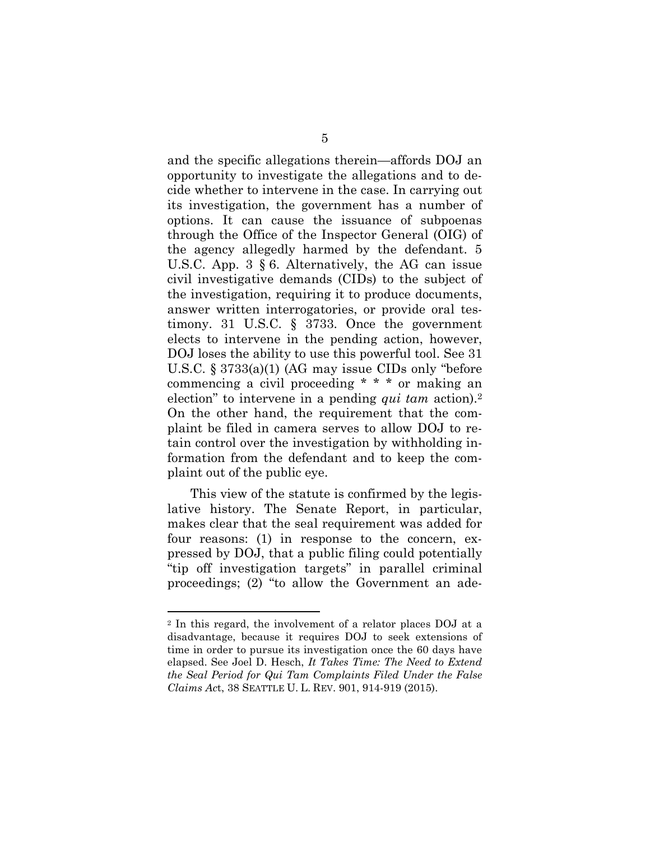and the specific allegations therein—affords DOJ an opportunity to investigate the allegations and to decide whether to intervene in the case. In carrying out its investigation, the government has a number of options. It can cause the issuance of subpoenas through the Office of the Inspector General (OIG) of the agency allegedly harmed by the defendant. 5 U.S.C. App. 3 § 6. Alternatively, the AG can issue civil investigative demands (CIDs) to the subject of the investigation, requiring it to produce documents, answer written interrogatories, or provide oral testimony. 31 U.S.C. § 3733. Once the government elects to intervene in the pending action, however, DOJ loses the ability to use this powerful tool. See 31 U.S.C. § 3733(a)(1) (AG may issue CIDs only "before commencing a civil proceeding \* \* \* or making an election" to intervene in a pending *qui tam* action).[2](#page-10-0) On the other hand, the requirement that the complaint be filed in camera serves to allow DOJ to retain control over the investigation by withholding information from the defendant and to keep the complaint out of the public eye.

This view of the statute is confirmed by the legislative history. The Senate Report, in particular, makes clear that the seal requirement was added for four reasons: (1) in response to the concern, expressed by DOJ, that a public filing could potentially "tip off investigation targets" in parallel criminal proceedings; (2) "to allow the Government an ade-

<span id="page-10-0"></span><sup>2</sup> In this regard, the involvement of a relator places DOJ at a disadvantage, because it requires DOJ to seek extensions of time in order to pursue its investigation once the 60 days have elapsed. See Joel D. Hesch, *It Takes Time: The Need to Extend the Seal Period for Qui Tam Complaints Filed Under the False Claims Ac*t, 38 SEATTLE U. L. REV. 901, 914-919 (2015).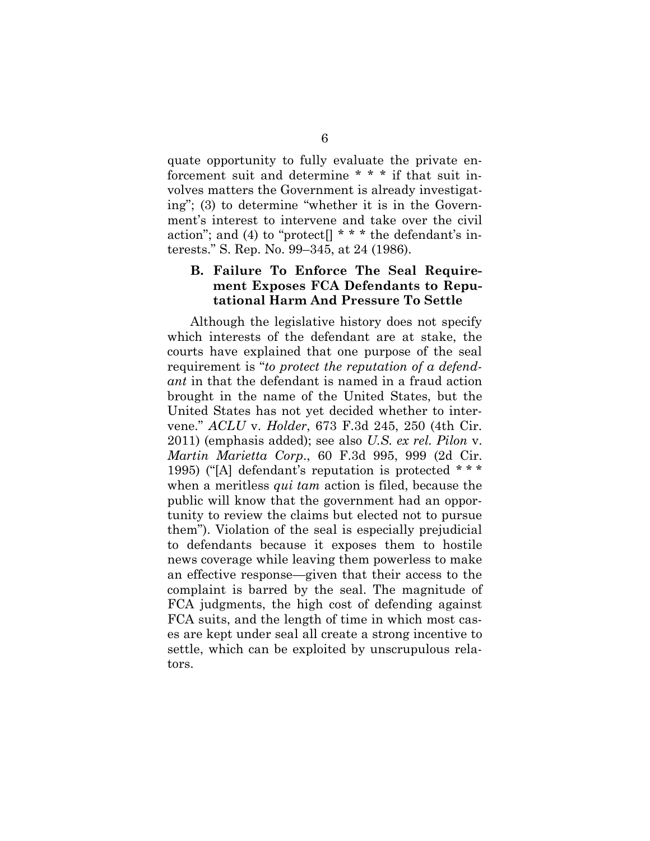quate opportunity to fully evaluate the private enforcement suit and determine \* \* \* if that suit involves matters the Government is already investigating"; (3) to determine "whether it is in the Government's interest to intervene and take over the civil action"; and (4) to "protect $[]$ \*\*\* the defendant's interests." S. Rep. No. 99–345, at 24 (1986).

### **B. Failure To Enforce The Seal Requirement Exposes FCA Defendants to Reputational Harm And Pressure To Settle**

Although the legislative history does not specify which interests of the defendant are at stake, the courts have explained that one purpose of the seal requirement is "*to protect the reputation of a defendant* in that the defendant is named in a fraud action brought in the name of the United States, but the United States has not yet decided whether to intervene." *ACLU* v. *Holder*, 673 F.3d 245, 250 (4th Cir. 2011) (emphasis added); see also *U.S. ex rel. Pilon* v. *Martin Marietta Corp*., 60 F.3d 995, 999 (2d Cir. 1995) ("[A] defendant's reputation is protected \* \* \* when a meritless *qui tam* action is filed, because the public will know that the government had an opportunity to review the claims but elected not to pursue them"). Violation of the seal is especially prejudicial to defendants because it exposes them to hostile news coverage while leaving them powerless to make an effective response—given that their access to the complaint is barred by the seal. The magnitude of FCA judgments, the high cost of defending against FCA suits, and the length of time in which most cases are kept under seal all create a strong incentive to settle, which can be exploited by unscrupulous relators.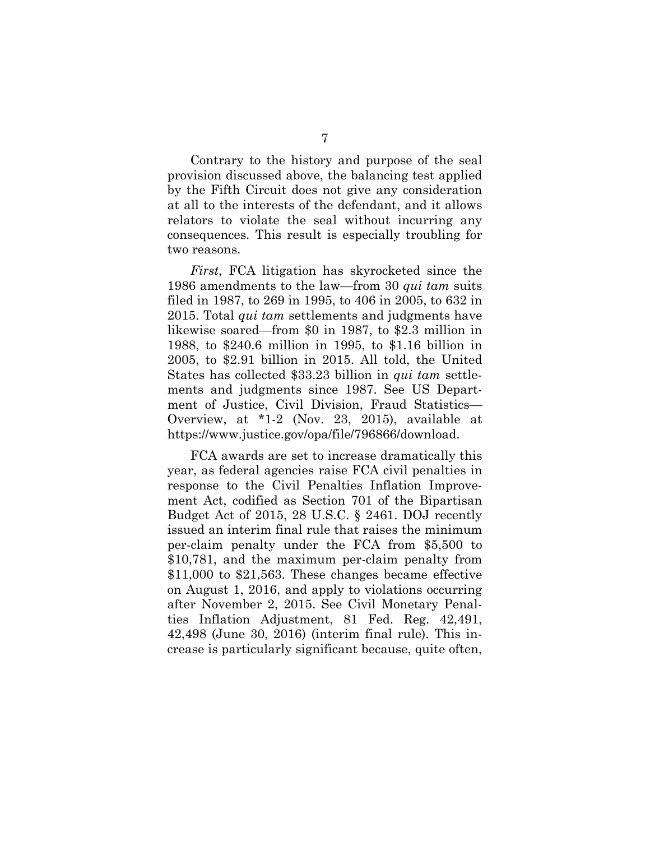Contrary to the history and purpose of the seal provision discussed above, the balancing test applied by the Fifth Circuit does not give any consideration at all to the interests of the defendant, and it allows relators to violate the seal without incurring any consequences. This result is especially troubling for two reasons.

*First*, FCA litigation has skyrocketed since the 1986 amendments to the law—from 30 *qui tam* suits filed in 1987, to 269 in 1995, to 406 in 2005, to 632 in 2015. Total *qui tam* settlements and judgments have likewise soared—from \$0 in 1987, to \$2.3 million in 1988, to \$240.6 million in 1995, to \$1.16 billion in 2005, to \$2.91 billion in 2015. All told, the United States has collected \$33.23 billion in *qui tam* settlements and judgments since 1987. See US Department of Justice, Civil Division, Fraud Statistics— Overview, at \*1-2 (Nov. 23, 2015), available at [https://www.justice.gov/opa/file/796866/download.](https://www.justice.gov/opa/file/796866/download)

FCA awards are set to increase dramatically this year, as federal agencies raise FCA civil penalties in response to the Civil Penalties Inflation Improvement Act, codified as Section 701 of the Bipartisan Budget Act of 2015, 28 U.S.C. § 2461. DOJ recently issued an interim final rule that raises the minimum per-claim penalty under the FCA from \$5,500 to \$10,781, and the maximum per-claim penalty from \$11,000 to \$21,563. These changes became effective on August 1, 2016, and apply to violations occurring after November 2, 2015. See Civil Monetary Penalties Inflation Adjustment, 81 Fed. Reg. 42,491, 42,498 (June 30, 2016) (interim final rule). This increase is particularly significant because, quite often,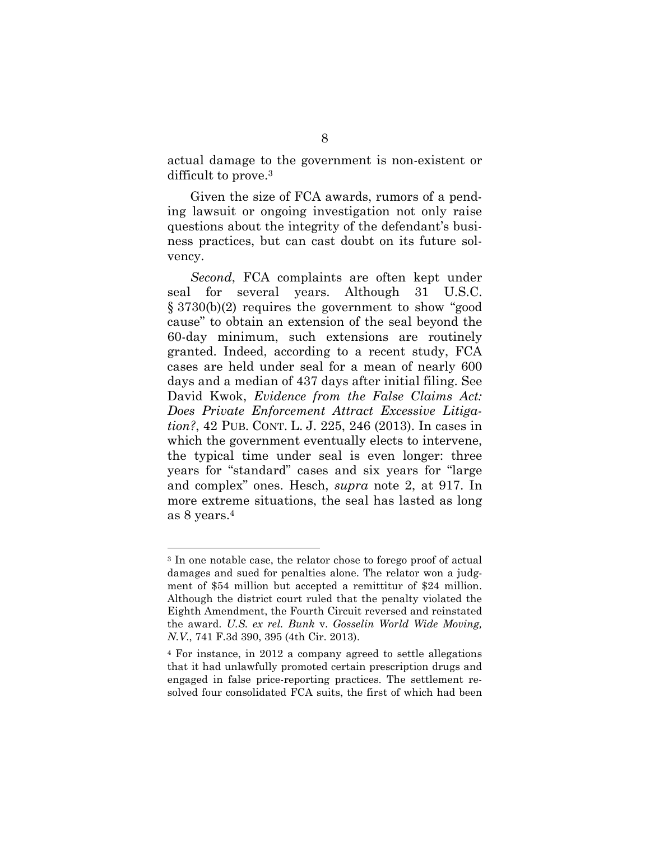actual damage to the government is non-existent or difficult to prove.[3](#page-13-0)

Given the size of FCA awards, rumors of a pending lawsuit or ongoing investigation not only raise questions about the integrity of the defendant's business practices, but can cast doubt on its future solvency.

*Second*, FCA complaints are often kept under seal for several years. Although 31 U.S.C. § 3730(b)(2) requires the government to show "good cause" to obtain an extension of the seal beyond the 60-day minimum, such extensions are routinely granted. Indeed, according to a recent study, FCA cases are held under seal for a mean of nearly 600 days and a median of 437 days after initial filing. See David Kwok, *Evidence from the False Claims Act: Does Private Enforcement Attract Excessive Litigation?*, 42 PUB. CONT. L. J. 225, 246 (2013). In cases in which the government eventually elects to intervene, the typical time under seal is even longer: three years for "standard" cases and six years for "large and complex" ones. Hesch, *supra* note 2, at 917. In more extreme situations, the seal has lasted as long as 8 years.[4](#page-13-1)

<span id="page-13-0"></span><sup>3</sup> In one notable case, the relator chose to forego proof of actual damages and sued for penalties alone. The relator won a judgment of \$54 million but accepted a remittitur of \$24 million. Although the district court ruled that the penalty violated the Eighth Amendment, the Fourth Circuit reversed and reinstated the award. *U.S. ex rel. Bunk* v. *Gosselin World Wide Moving, N.V*., 741 F.3d 390, 395 (4th Cir. 2013).

<span id="page-13-1"></span><sup>4</sup> For instance, in 2012 a company agreed to settle allegations that it had unlawfully promoted certain prescription drugs and engaged in false price-reporting practices. The settlement resolved four consolidated FCA suits, the first of which had been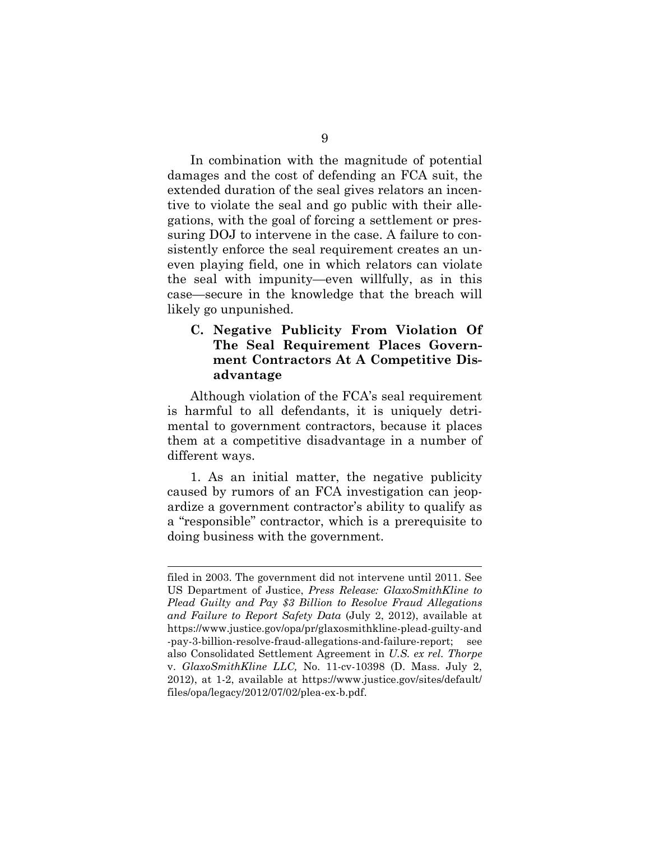In combination with the magnitude of potential damages and the cost of defending an FCA suit, the extended duration of the seal gives relators an incentive to violate the seal and go public with their allegations, with the goal of forcing a settlement or pressuring DOJ to intervene in the case. A failure to consistently enforce the seal requirement creates an uneven playing field, one in which relators can violate the seal with impunity—even willfully, as in this case—secure in the knowledge that the breach will likely go unpunished.

### **C. Negative Publicity From Violation Of The Seal Requirement Places Government Contractors At A Competitive Disadvantage**

Although violation of the FCA's seal requirement is harmful to all defendants, it is uniquely detrimental to government contractors, because it places them at a competitive disadvantage in a number of different ways.

1. As an initial matter, the negative publicity caused by rumors of an FCA investigation can jeopardize a government contractor's ability to qualify as a "responsible" contractor, which is a prerequisite to doing business with the government.

filed in 2003. The government did not intervene until 2011. See US Department of Justice, *Press Release: GlaxoSmithKline to Plead Guilty and Pay \$3 Billion to Resolve Fraud Allegations and Failure to Report Safety Data* (July 2, 2012), available at https://www.justice.gov/opa/pr/glaxosmithkline-plead-guilty-and -pay-3-billion-resolve-fraud-allegations-and-failure-report; also Consolidated Settlement Agreement in *U.S. ex rel. Thorpe* v. *GlaxoSmithKline LLC,* No. 11-cv-10398 (D. Mass. July 2, 2012), at 1-2, available at https://www.justice.gov/sites/default/ files/opa/legacy/2012/07/02/plea-ex-b.pdf.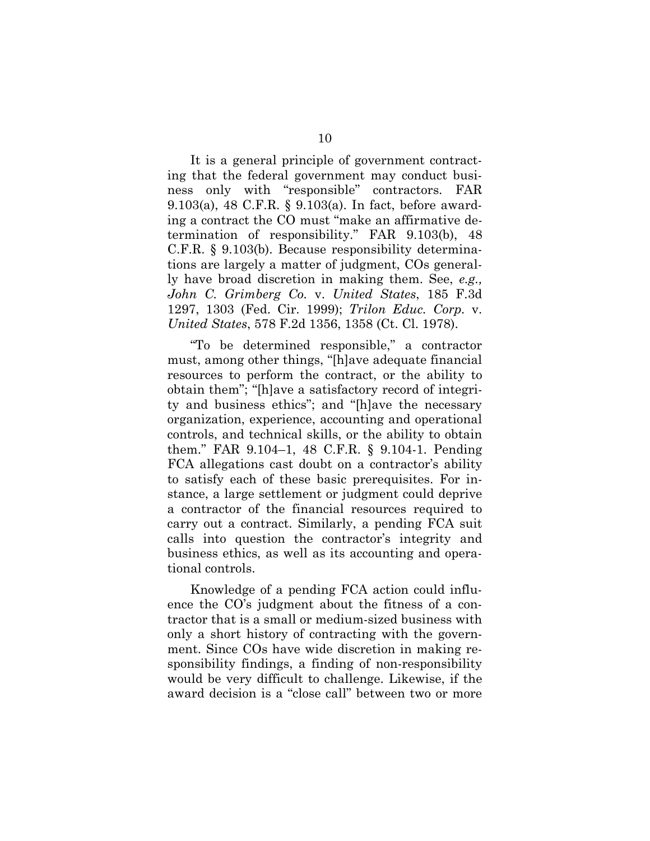It is a general principle of government contracting that the federal government may conduct business only with "responsible" contractors. FAR 9.103(a), 48 C.F.R. § 9.103(a). In fact, before awarding a contract the CO must "make an affirmative determination of responsibility." FAR 9.103(b), 48 C.F.R. § 9.103(b). Because responsibility determinations are largely a matter of judgment, COs generally have broad discretion in making them. See, *e.g., John C. Grimberg Co.* v. *United States*, 185 F.3d 1297, 1303 (Fed. Cir. 1999); *Trilon Educ. Corp.* v. *United States*, 578 F.2d 1356, 1358 (Ct. Cl. 1978).

"To be determined responsible," a contractor must, among other things, "[h]ave adequate financial resources to perform the contract, or the ability to obtain them"; "[h]ave a satisfactory record of integrity and business ethics"; and "[h]ave the necessary organization, experience, accounting and operational controls, and technical skills, or the ability to obtain them." FAR 9.104–1, 48 C.F.R. § 9.104-1. Pending FCA allegations cast doubt on a contractor's ability to satisfy each of these basic prerequisites. For instance, a large settlement or judgment could deprive a contractor of the financial resources required to carry out a contract. Similarly, a pending FCA suit calls into question the contractor's integrity and business ethics, as well as its accounting and operational controls.

Knowledge of a pending FCA action could influence the CO's judgment about the fitness of a contractor that is a small or medium-sized business with only a short history of contracting with the government. Since COs have wide discretion in making responsibility findings, a finding of non-responsibility would be very difficult to challenge. Likewise, if the award decision is a "close call" between two or more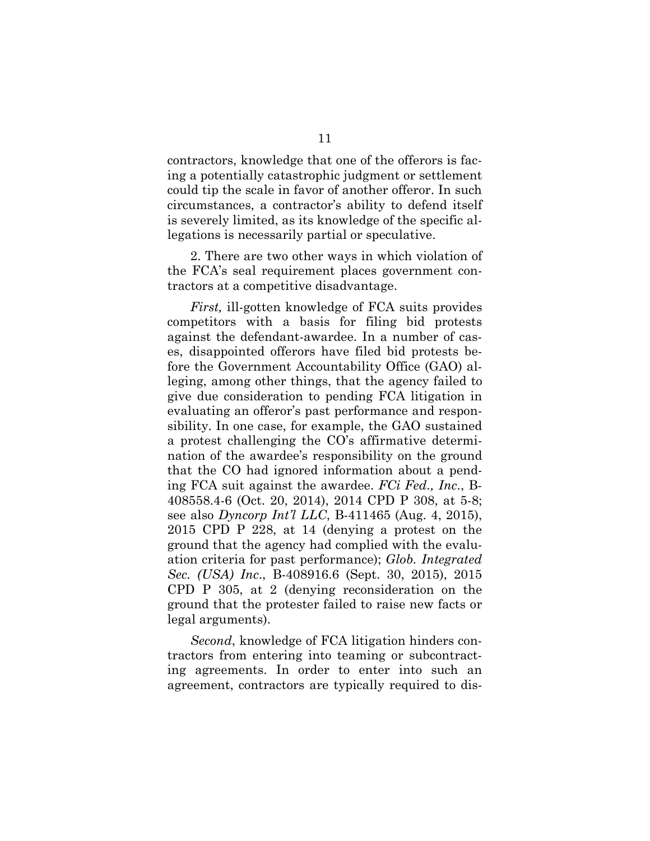contractors, knowledge that one of the offerors is facing a potentially catastrophic judgment or settlement could tip the scale in favor of another offeror. In such circumstances, a contractor's ability to defend itself is severely limited, as its knowledge of the specific allegations is necessarily partial or speculative.

2. There are two other ways in which violation of the FCA's seal requirement places government contractors at a competitive disadvantage.

*First,* ill-gotten knowledge of FCA suits provides competitors with a basis for filing bid protests against the defendant-awardee. In a number of cases, disappointed offerors have filed bid protests before the Government Accountability Office (GAO) alleging, among other things, that the agency failed to give due consideration to pending FCA litigation in evaluating an offeror's past performance and responsibility. In one case, for example, the GAO sustained a protest challenging the CO's affirmative determination of the awardee's responsibility on the ground that the CO had ignored information about a pending FCA suit against the awardee. *FCi Fed., Inc*., B-408558.4-6 (Oct. 20, 2014), 2014 CPD P 308, at 5-8; see also *Dyncorp Int'l LLC*, B-411465 (Aug. 4, 2015), 2015 CPD P 228, at 14 (denying a protest on the ground that the agency had complied with the evaluation criteria for past performance); *Glob. Integrated Sec. (USA) Inc*., B-408916.6 (Sept. 30, 2015), 2015 CPD P 305, at 2 (denying reconsideration on the ground that the protester failed to raise new facts or legal arguments).

*Second*, knowledge of FCA litigation hinders contractors from entering into teaming or subcontracting agreements. In order to enter into such an agreement, contractors are typically required to dis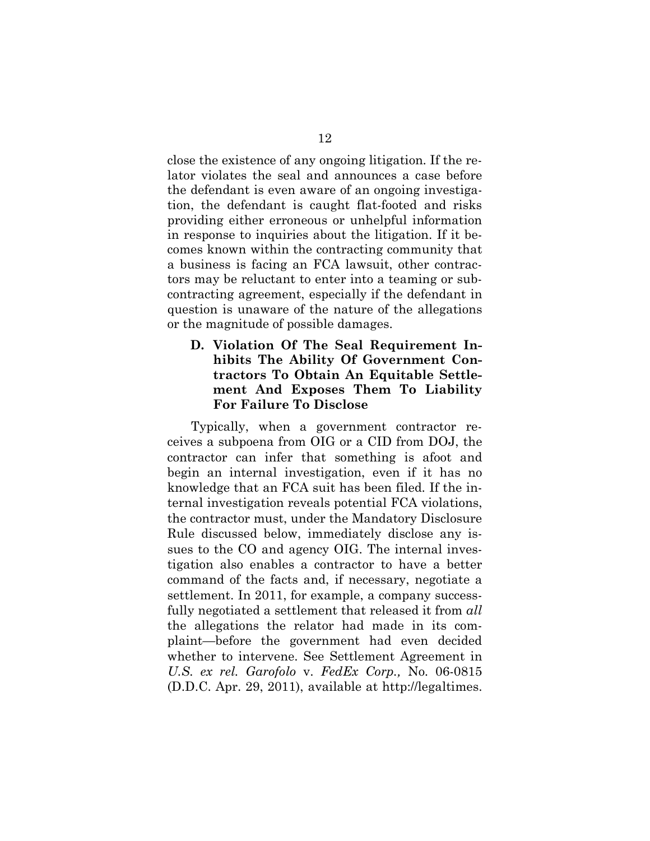close the existence of any ongoing litigation. If the relator violates the seal and announces a case before the defendant is even aware of an ongoing investigation, the defendant is caught flat-footed and risks providing either erroneous or unhelpful information in response to inquiries about the litigation. If it becomes known within the contracting community that a business is facing an FCA lawsuit, other contractors may be reluctant to enter into a teaming or subcontracting agreement, especially if the defendant in question is unaware of the nature of the allegations or the magnitude of possible damages.

### **D. Violation Of The Seal Requirement Inhibits The Ability Of Government Contractors To Obtain An Equitable Settlement And Exposes Them To Liability For Failure To Disclose**

Typically, when a government contractor receives a subpoena from OIG or a CID from DOJ, the contractor can infer that something is afoot and begin an internal investigation, even if it has no knowledge that an FCA suit has been filed. If the internal investigation reveals potential FCA violations, the contractor must, under the Mandatory Disclosure Rule discussed below, immediately disclose any issues to the CO and agency OIG. The internal investigation also enables a contractor to have a better command of the facts and, if necessary, negotiate a settlement. In 2011, for example, a company successfully negotiated a settlement that released it from *all* the allegations the relator had made in its complaint—before the government had even decided whether to intervene. See Settlement Agreement in *U.S. ex rel. Garofolo* v. *FedEx Corp.,* No. 06-0815 (D.D.C. Apr. 29, 2011), available at [http://legaltimes.](http://legaltimes.typepad.com/files/fedex-civil-settlement.pdf)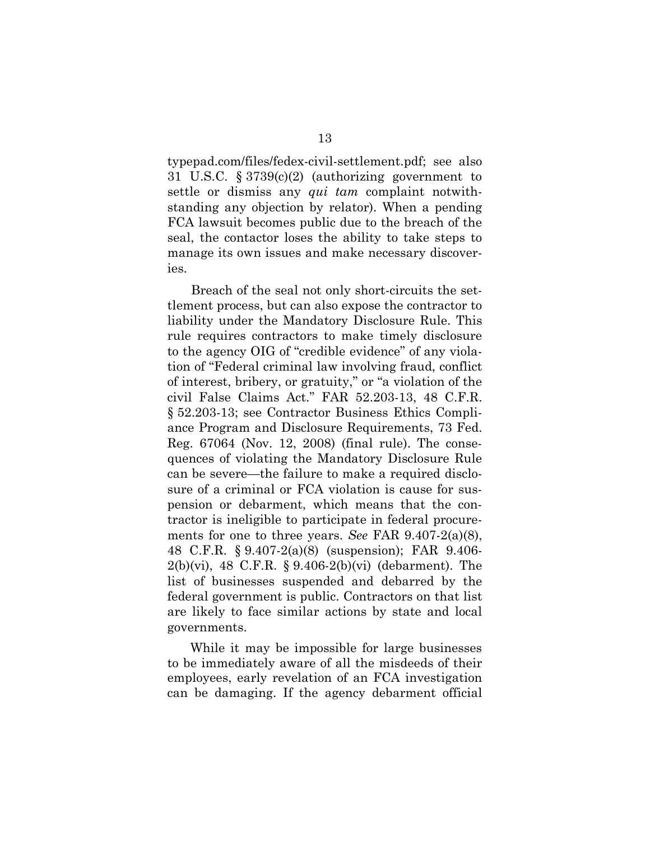[typepad.com/files/fedex-civil-settlement.pdf; see also](http://legaltimes.typepad.com/files/fedex-civil-settlement.pdf) 31 U.S.C. § 3739(c)(2) (authorizing government to settle or dismiss any *qui tam* complaint notwithstanding any objection by relator). When a pending FCA lawsuit becomes public due to the breach of the seal, the contactor loses the ability to take steps to manage its own issues and make necessary discoveries.

Breach of the seal not only short-circuits the settlement process, but can also expose the contractor to liability under the Mandatory Disclosure Rule. This rule requires contractors to make timely disclosure to the agency OIG of "credible evidence" of any violation of "Federal criminal law involving fraud, conflict of interest, bribery, or gratuity," or "a violation of the civil False Claims Act." FAR 52.203-13, 48 C.F.R. § 52.203-13; see Contractor Business Ethics Compliance Program and Disclosure Requirements, 73 Fed. Reg. 67064 (Nov. 12, 2008) (final rule). The consequences of violating the Mandatory Disclosure Rule can be severe—the failure to make a required disclosure of a criminal or FCA violation is cause for suspension or debarment, which means that the contractor is ineligible to participate in federal procurements for one to three years. *See* FAR 9.407-2(a)(8), 48 C.F.R. § 9.407-2(a)(8) (suspension); FAR 9.406- 2(b)(vi), 48 C.F.R. § 9.406-2(b)(vi) (debarment). The list of businesses suspended and debarred by the federal government is public. Contractors on that list are likely to face similar actions by state and local governments.

While it may be impossible for large businesses to be immediately aware of all the misdeeds of their employees, early revelation of an FCA investigation can be damaging. If the agency debarment official